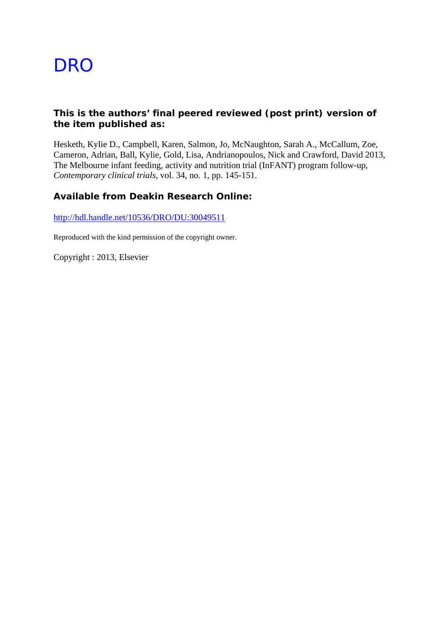# **DRO**

# **This is the authors' final peered reviewed (post print) version of the item published as:**

Hesketh, Kylie D., Campbell, Karen, Salmon, Jo, McNaughton, Sarah A., McCallum, Zoe, Cameron, Adrian, Ball, Kylie, Gold, Lisa, Andrianopoulos, Nick and Crawford, David 2013, The Melbourne infant feeding, activity and nutrition trial (InFANT) program follow-up*, Contemporary clinical trials*, vol. 34, no. 1, pp. 145-151.

# **Available from Deakin Research Online:**

http://hdl.handle.net/10536/DRO/DU:30049511

Reproduced with the kind permission of the copyright owner.

Copyright : 2013, Elsevier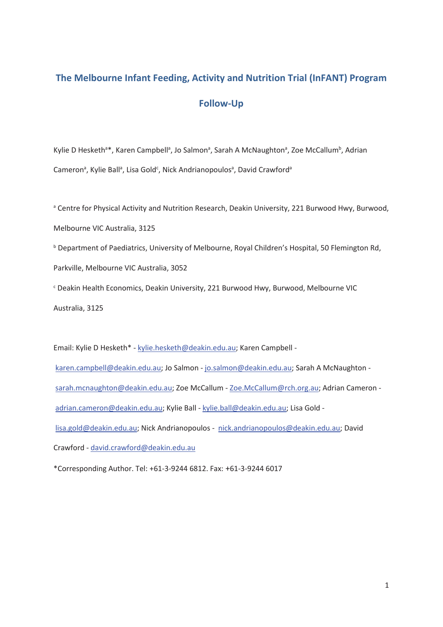# **The Melbourne Infant Feeding, Activity and Nutrition Trial (InFANT) Program Follow-Up**

Kylie D Hesketh<sup>a\*</sup>, Karen Campbell<sup>a</sup>, Jo Salmon<sup>a</sup>, Sarah A McNaughton<sup>a</sup>, Zoe McCallum<sup>b</sup>, Adrian Cameron<sup>a</sup>, Kylie Ball<sup>a</sup>, Lisa Gold<sup>c</sup>, Nick Andrianopoulos<sup>a</sup>, David Crawford<sup>a</sup>

<sup>a</sup> Centre for Physical Activity and Nutrition Research, Deakin University, 221 Burwood Hwy, Burwood, Melbourne VIC Australia, 3125

**b** Department of Paediatrics, University of Melbourne, Royal Children's Hospital, 50 Flemington Rd,

Parkville, Melbourne VIC Australia, 3052

c Deakin Health Economics, Deakin University, 221 Burwood Hwy, Burwood, Melbourne VIC Australia, 3125

Email: Kylie D Hesketh\* - kylie.hesketh@deakin.edu.au; Karen Campbell -

karen.campbell@deakin.edu.au; Jo Salmon - jo.salmon@deakin.edu.au; Sarah A McNaughton sarah.mcnaughton@deakin.edu.au; Zoe McCallum - Zoe.McCallum@rch.org.au; Adrian Cameron adrian.cameron@deakin.edu.au; Kylie Ball - kylie.ball@deakin.edu.au; Lisa Gold lisa.gold@deakin.edu.au; Nick Andrianopoulos - nick.andrianopoulos@deakin.edu.au; David Crawford - david.crawford@deakin.edu.au

\*Corresponding Author. Tel: +61-3-9244 6812. Fax: +61-3-9244 6017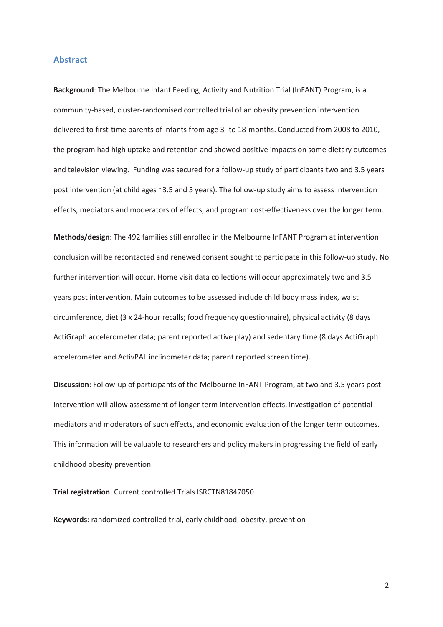#### **Abstract**

**Background**: The Melbourne Infant Feeding, Activity and Nutrition Trial (InFANT) Program, is a community-based, cluster-randomised controlled trial of an obesity prevention intervention delivered to first-time parents of infants from age 3- to 18-months. Conducted from 2008 to 2010, the program had high uptake and retention and showed positive impacts on some dietary outcomes and television viewing. Funding was secured for a follow-up study of participants two and 3.5 years post intervention (at child ages ~3.5 and 5 years). The follow-up study aims to assess intervention effects, mediators and moderators of effects, and program cost-effectiveness over the longer term.

**Methods/design**: The 492 families still enrolled in the Melbourne InFANT Program at intervention conclusion will be recontacted and renewed consent sought to participate in this follow-up study. No further intervention will occur. Home visit data collections will occur approximately two and 3.5 years post intervention. Main outcomes to be assessed include child body mass index, waist circumference, diet (3 x 24-hour recalls; food frequency questionnaire), physical activity (8 days ActiGraph accelerometer data; parent reported active play) and sedentary time (8 days ActiGraph accelerometer and ActivPAL inclinometer data; parent reported screen time).

**Discussion**: Follow-up of participants of the Melbourne InFANT Program, at two and 3.5 years post intervention will allow assessment of longer term intervention effects, investigation of potential mediators and moderators of such effects, and economic evaluation of the longer term outcomes. This information will be valuable to researchers and policy makers in progressing the field of early childhood obesity prevention.

#### **Trial registration**: Current controlled Trials ISRCTN81847050

**Keywords**: randomized controlled trial, early childhood, obesity, prevention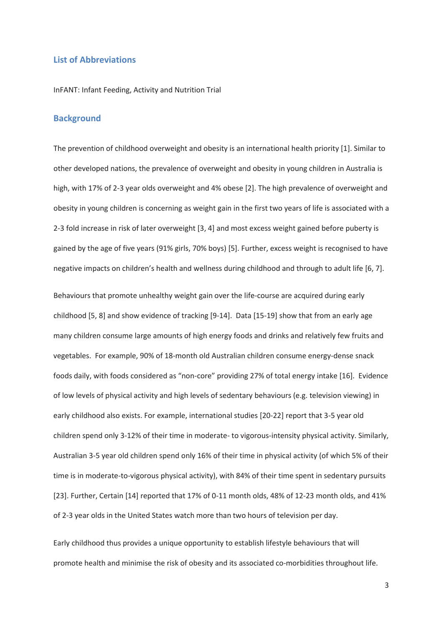## **List of Abbreviations**

InFANT: Infant Feeding, Activity and Nutrition Trial

# **Background**

The prevention of childhood overweight and obesity is an international health priority [1]. Similar to other developed nations, the prevalence of overweight and obesity in young children in Australia is high, with 17% of 2-3 year olds overweight and 4% obese [2]. The high prevalence of overweight and obesity in young children is concerning as weight gain in the first two years of life is associated with a 2-3 fold increase in risk of later overweight [3, 4] and most excess weight gained before puberty is gained by the age of five years (91% girls, 70% boys) [5]. Further, excess weight is recognised to have negative impacts on children's health and wellness during childhood and through to adult life [6, 7].

Behaviours that promote unhealthy weight gain over the life-course are acquired during early childhood [5, 8] and show evidence of tracking [9-14]. Data [15-19] show that from an early age many children consume large amounts of high energy foods and drinks and relatively few fruits and vegetables. For example, 90% of 18-month old Australian children consume energy-dense snack foods daily, with foods considered as "non-core" providing 27% of total energy intake [16]. Evidence of low levels of physical activity and high levels of sedentary behaviours (e.g. television viewing) in early childhood also exists. For example, international studies [20-22] report that 3-5 year old children spend only 3-12% of their time in moderate- to vigorous-intensity physical activity. Similarly, Australian 3-5 year old children spend only 16% of their time in physical activity (of which 5% of their time is in moderate-to-vigorous physical activity), with 84% of their time spent in sedentary pursuits [23]. Further, Certain [14] reported that 17% of 0-11 month olds, 48% of 12-23 month olds, and 41% of 2-3 year olds in the United States watch more than two hours of television per day.

Early childhood thus provides a unique opportunity to establish lifestyle behaviours that will promote health and minimise the risk of obesity and its associated co-morbidities throughout life.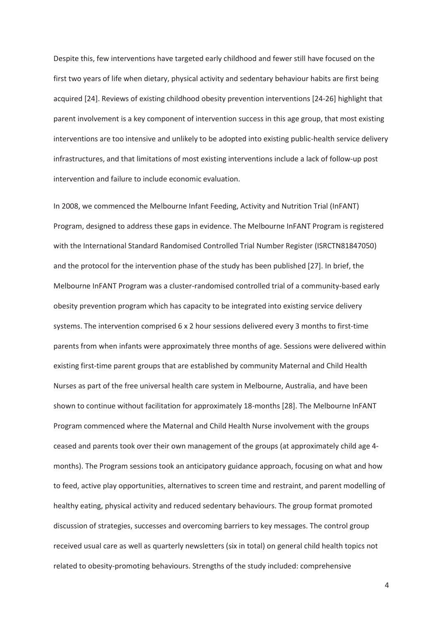Despite this, few interventions have targeted early childhood and fewer still have focused on the first two years of life when dietary, physical activity and sedentary behaviour habits are first being acquired [24]. Reviews of existing childhood obesity prevention interventions [24-26] highlight that parent involvement is a key component of intervention success in this age group, that most existing interventions are too intensive and unlikely to be adopted into existing public-health service delivery infrastructures, and that limitations of most existing interventions include a lack of follow-up post intervention and failure to include economic evaluation.

In 2008, we commenced the Melbourne Infant Feeding, Activity and Nutrition Trial (InFANT) Program, designed to address these gaps in evidence. The Melbourne InFANT Program is registered with the International Standard Randomised Controlled Trial Number Register (ISRCTN81847050) and the protocol for the intervention phase of the study has been published [27]. In brief, the Melbourne InFANT Program was a cluster-randomised controlled trial of a community-based early obesity prevention program which has capacity to be integrated into existing service delivery systems. The intervention comprised 6 x 2 hour sessions delivered every 3 months to first-time parents from when infants were approximately three months of age. Sessions were delivered within existing first-time parent groups that are established by community Maternal and Child Health Nurses as part of the free universal health care system in Melbourne, Australia, and have been shown to continue without facilitation for approximately 18-months [28]. The Melbourne InFANT Program commenced where the Maternal and Child Health Nurse involvement with the groups ceased and parents took over their own management of the groups (at approximately child age 4 months). The Program sessions took an anticipatory guidance approach, focusing on what and how to feed, active play opportunities, alternatives to screen time and restraint, and parent modelling of healthy eating, physical activity and reduced sedentary behaviours. The group format promoted discussion of strategies, successes and overcoming barriers to key messages. The control group received usual care as well as quarterly newsletters (six in total) on general child health topics not related to obesity-promoting behaviours. Strengths of the study included: comprehensive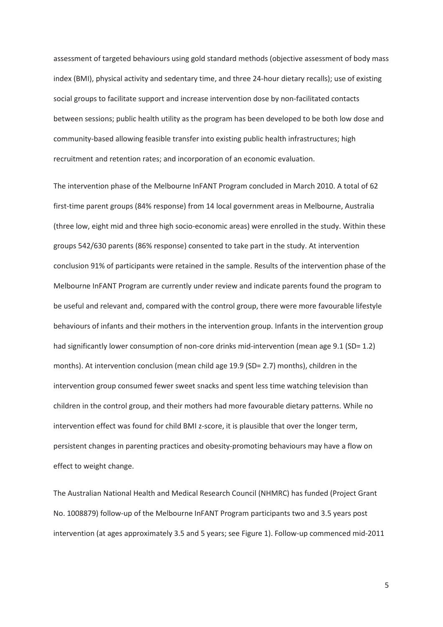assessment of targeted behaviours using gold standard methods (objective assessment of body mass index (BMI), physical activity and sedentary time, and three 24-hour dietary recalls); use of existing social groups to facilitate support and increase intervention dose by non-facilitated contacts between sessions; public health utility as the program has been developed to be both low dose and community-based allowing feasible transfer into existing public health infrastructures; high recruitment and retention rates; and incorporation of an economic evaluation.

The intervention phase of the Melbourne InFANT Program concluded in March 2010. A total of 62 first-time parent groups (84% response) from 14 local government areas in Melbourne, Australia (three low, eight mid and three high socio-economic areas) were enrolled in the study. Within these groups 542/630 parents (86% response) consented to take part in the study. At intervention conclusion 91% of participants were retained in the sample. Results of the intervention phase of the Melbourne InFANT Program are currently under review and indicate parents found the program to be useful and relevant and, compared with the control group, there were more favourable lifestyle behaviours of infants and their mothers in the intervention group. Infants in the intervention group had significantly lower consumption of non-core drinks mid-intervention (mean age 9.1 (SD= 1.2) months). At intervention conclusion (mean child age 19.9 (SD= 2.7) months), children in the intervention group consumed fewer sweet snacks and spent less time watching television than children in the control group, and their mothers had more favourable dietary patterns. While no intervention effect was found for child BMI z-score, it is plausible that over the longer term, persistent changes in parenting practices and obesity-promoting behaviours may have a flow on effect to weight change.

The Australian National Health and Medical Research Council (NHMRC) has funded (Project Grant No. 1008879) follow-up of the Melbourne InFANT Program participants two and 3.5 years post intervention (at ages approximately 3.5 and 5 years; see Figure 1). Follow-up commenced mid-2011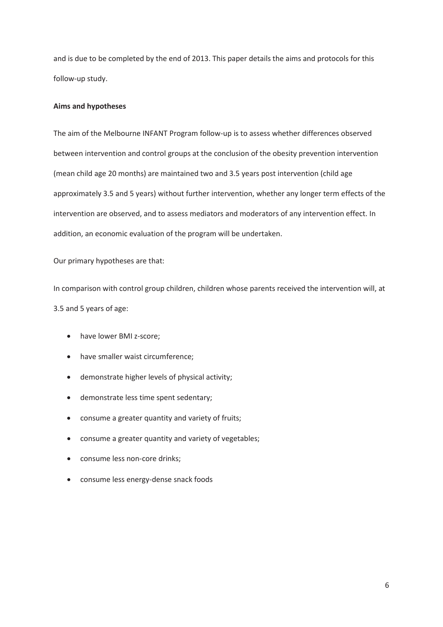and is due to be completed by the end of 2013. This paper details the aims and protocols for this follow-up study.

## **Aims and hypotheses**

The aim of the Melbourne INFANT Program follow-up is to assess whether differences observed between intervention and control groups at the conclusion of the obesity prevention intervention (mean child age 20 months) are maintained two and 3.5 years post intervention (child age approximately 3.5 and 5 years) without further intervention, whether any longer term effects of the intervention are observed, and to assess mediators and moderators of any intervention effect. In addition, an economic evaluation of the program will be undertaken.

Our primary hypotheses are that:

In comparison with control group children, children whose parents received the intervention will, at 3.5 and 5 years of age:

- have lower BMI z-score;
- have smaller waist circumference;
- demonstrate higher levels of physical activity;
- demonstrate less time spent sedentary;
- consume a greater quantity and variety of fruits;
- consume a greater quantity and variety of vegetables;
- consume less non-core drinks;
- consume less energy-dense snack foods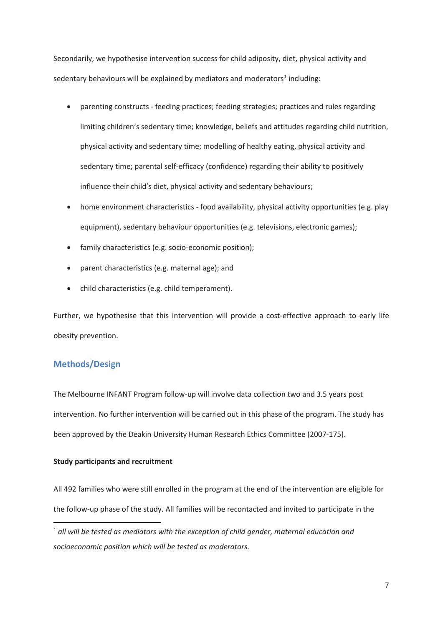Secondarily, we hypothesise intervention success for child adiposity, diet, physical activity and sedentary behaviours will be explained by mediators and moderators<sup>1</sup> including:

- parenting constructs feeding practices; feeding strategies; practices and rules regarding limiting children's sedentary time; knowledge, beliefs and attitudes regarding child nutrition, physical activity and sedentary time; modelling of healthy eating, physical activity and sedentary time; parental self-efficacy (confidence) regarding their ability to positively influence their child's diet, physical activity and sedentary behaviours;
- home environment characteristics food availability, physical activity opportunities (e.g. play equipment), sedentary behaviour opportunities (e.g. televisions, electronic games);
- family characteristics (e.g. socio-economic position);
- parent characteristics (e.g. maternal age); and
- child characteristics (e.g. child temperament).

Further, we hypothesise that this intervention will provide a cost-effective approach to early life obesity prevention.

# **Methods/Design**

**.** 

The Melbourne INFANT Program follow-up will involve data collection two and 3.5 years post intervention. No further intervention will be carried out in this phase of the program. The study has been approved by the Deakin University Human Research Ethics Committee (2007-175).

### **Study participants and recruitment**

All 492 families who were still enrolled in the program at the end of the intervention are eligible for the follow-up phase of the study. All families will be recontacted and invited to participate in the

<sup>1</sup> *all will be tested as mediators with the exception of child gender, maternal education and socioeconomic position which will be tested as moderators.*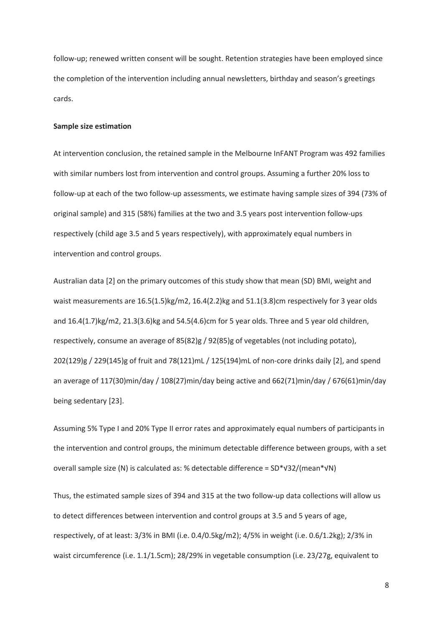follow-up; renewed written consent will be sought. Retention strategies have been employed since the completion of the intervention including annual newsletters, birthday and season's greetings cards.

#### **Sample size estimation**

At intervention conclusion, the retained sample in the Melbourne InFANT Program was 492 families with similar numbers lost from intervention and control groups. Assuming a further 20% loss to follow-up at each of the two follow-up assessments, we estimate having sample sizes of 394 (73% of original sample) and 315 (58%) families at the two and 3.5 years post intervention follow-ups respectively (child age 3.5 and 5 years respectively), with approximately equal numbers in intervention and control groups.

Australian data [2] on the primary outcomes of this study show that mean (SD) BMI, weight and waist measurements are 16.5(1.5)kg/m2, 16.4(2.2)kg and 51.1(3.8)cm respectively for 3 year olds and  $16.4(1.7)$ kg/m2,  $21.3(3.6)$ kg and  $54.5(4.6)$ cm for 5 year olds. Three and 5 year old children, respectively, consume an average of 85(82)g / 92(85)g of vegetables (not including potato), 202(129)g / 229(145)g of fruit and 78(121)mL / 125(194)mL of non-core drinks daily [2], and spend an average of 117(30)min/day / 108(27)min/day being active and 662(71)min/day / 676(61)min/day being sedentary [23].

Assuming 5% Type I and 20% Type II error rates and approximately equal numbers of participants in the intervention and control groups, the minimum detectable difference between groups, with a set overall sample size (N) is calculated as: % detectable difference = SD\*V32/(mean\*VN)

Thus, the estimated sample sizes of 394 and 315 at the two follow-up data collections will allow us to detect differences between intervention and control groups at 3.5 and 5 years of age, respectively, of at least: 3/3% in BMI (i.e. 0.4/0.5kg/m2); 4/5% in weight (i.e. 0.6/1.2kg); 2/3% in waist circumference (i.e. 1.1/1.5cm); 28/29% in vegetable consumption (i.e. 23/27g, equivalent to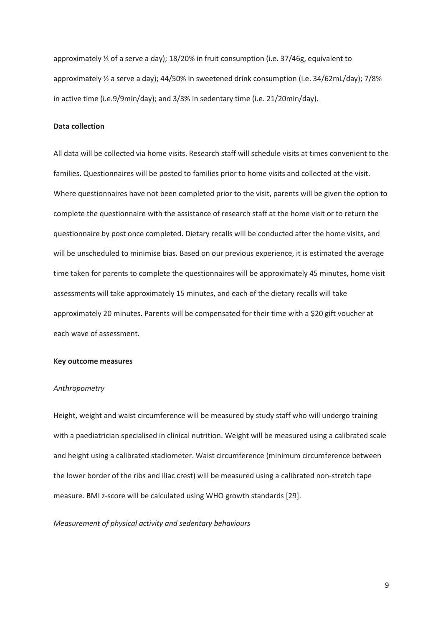approximately  $\frac{1}{3}$  of a serve a day); 18/20% in fruit consumption (i.e. 37/46g, equivalent to approximately ½ a serve a day); 44/50% in sweetened drink consumption (i.e. 34/62mL/day); 7/8% in active time (i.e.9/9min/day); and 3/3% in sedentary time (i.e. 21/20min/day).

## **Data collection**

All data will be collected via home visits. Research staff will schedule visits at times convenient to the families. Questionnaires will be posted to families prior to home visits and collected at the visit. Where questionnaires have not been completed prior to the visit, parents will be given the option to complete the questionnaire with the assistance of research staff at the home visit or to return the questionnaire by post once completed. Dietary recalls will be conducted after the home visits, and will be unscheduled to minimise bias. Based on our previous experience, it is estimated the average time taken for parents to complete the questionnaires will be approximately 45 minutes, home visit assessments will take approximately 15 minutes, and each of the dietary recalls will take approximately 20 minutes. Parents will be compensated for their time with a \$20 gift voucher at each wave of assessment.

#### **Key outcome measures**

#### *Anthropometry*

Height, weight and waist circumference will be measured by study staff who will undergo training with a paediatrician specialised in clinical nutrition. Weight will be measured using a calibrated scale and height using a calibrated stadiometer. Waist circumference (minimum circumference between the lower border of the ribs and iliac crest) will be measured using a calibrated non-stretch tape measure. BMI z-score will be calculated using WHO growth standards [29].

*Measurement of physical activity and sedentary behaviours*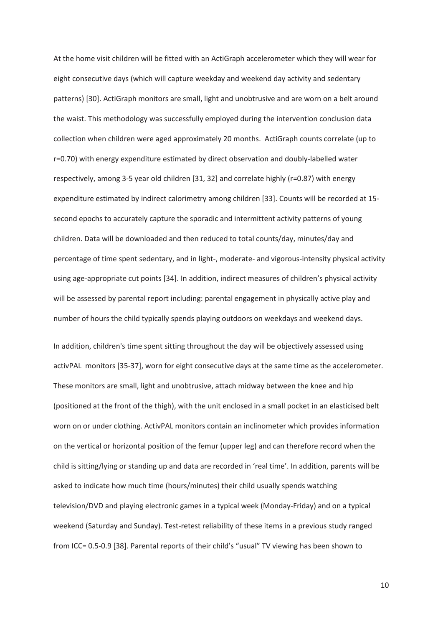At the home visit children will be fitted with an ActiGraph accelerometer which they will wear for eight consecutive days (which will capture weekday and weekend day activity and sedentary patterns) [30]. ActiGraph monitors are small, light and unobtrusive and are worn on a belt around the waist. This methodology was successfully employed during the intervention conclusion data collection when children were aged approximately 20 months. ActiGraph counts correlate (up to r=0.70) with energy expenditure estimated by direct observation and doubly-labelled water respectively, among 3-5 year old children [31, 32] and correlate highly (r=0.87) with energy expenditure estimated by indirect calorimetry among children [33]. Counts will be recorded at 15 second epochs to accurately capture the sporadic and intermittent activity patterns of young children. Data will be downloaded and then reduced to total counts/day, minutes/day and percentage of time spent sedentary, and in light-, moderate- and vigorous-intensity physical activity using age-appropriate cut points [34]. In addition, indirect measures of children's physical activity will be assessed by parental report including: parental engagement in physically active play and number of hours the child typically spends playing outdoors on weekdays and weekend days.

In addition, children's time spent sitting throughout the day will be objectively assessed using activPAL monitors [35-37], worn for eight consecutive days at the same time as the accelerometer. These monitors are small, light and unobtrusive, attach midway between the knee and hip (positioned at the front of the thigh), with the unit enclosed in a small pocket in an elasticised belt worn on or under clothing. ActivPAL monitors contain an inclinometer which provides information on the vertical or horizontal position of the femur (upper leg) and can therefore record when the child is sitting/lying or standing up and data are recorded in 'real time'. In addition, parents will be asked to indicate how much time (hours/minutes) their child usually spends watching television/DVD and playing electronic games in a typical week (Monday-Friday) and on a typical weekend (Saturday and Sunday). Test-retest reliability of these items in a previous study ranged from ICC= 0.5-0.9 [38]. Parental reports of their child's "usual" TV viewing has been shown to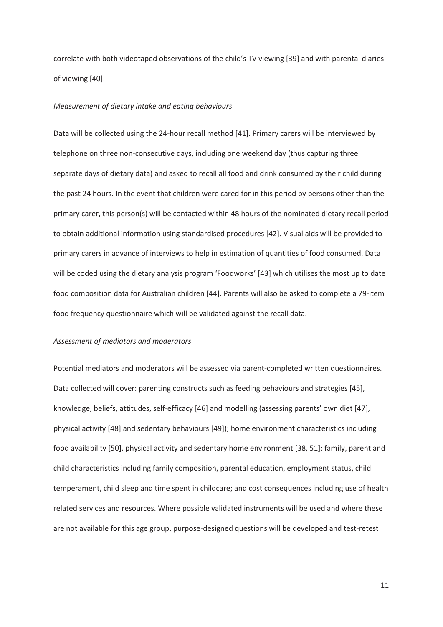correlate with both videotaped observations of the child's TV viewing [39] and with parental diaries of viewing [40].

#### *Measurement of dietary intake and eating behaviours*

Data will be collected using the 24-hour recall method [41]. Primary carers will be interviewed by telephone on three non-consecutive days, including one weekend day (thus capturing three separate days of dietary data) and asked to recall all food and drink consumed by their child during the past 24 hours. In the event that children were cared for in this period by persons other than the primary carer, this person(s) will be contacted within 48 hours of the nominated dietary recall period to obtain additional information using standardised procedures [42]. Visual aids will be provided to primary carers in advance of interviews to help in estimation of quantities of food consumed. Data will be coded using the dietary analysis program 'Foodworks' [43] which utilises the most up to date food composition data for Australian children [44]. Parents will also be asked to complete a 79-item food frequency questionnaire which will be validated against the recall data.

#### *Assessment of mediators and moderators*

Potential mediators and moderators will be assessed via parent-completed written questionnaires. Data collected will cover: parenting constructs such as feeding behaviours and strategies [45], knowledge, beliefs, attitudes, self-efficacy [46] and modelling (assessing parents' own diet [47], physical activity [48] and sedentary behaviours [49]); home environment characteristics including food availability [50], physical activity and sedentary home environment [38, 51]; family, parent and child characteristics including family composition, parental education, employment status, child temperament, child sleep and time spent in childcare; and cost consequences including use of health related services and resources. Where possible validated instruments will be used and where these are not available for this age group, purpose-designed questions will be developed and test-retest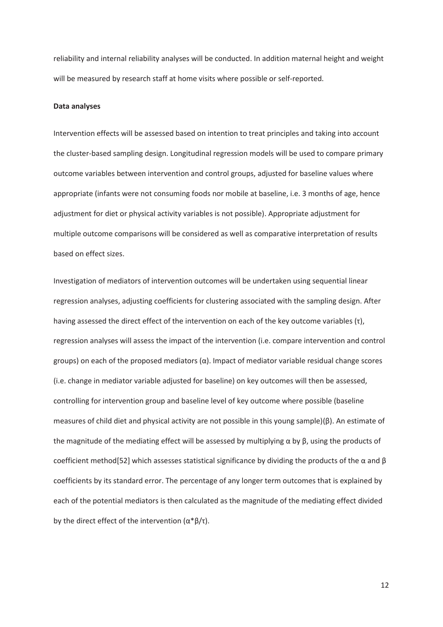reliability and internal reliability analyses will be conducted. In addition maternal height and weight will be measured by research staff at home visits where possible or self-reported.

#### **Data analyses**

Intervention effects will be assessed based on intention to treat principles and taking into account the cluster-based sampling design. Longitudinal regression models will be used to compare primary outcome variables between intervention and control groups, adjusted for baseline values where appropriate (infants were not consuming foods nor mobile at baseline, i.e. 3 months of age, hence adjustment for diet or physical activity variables is not possible). Appropriate adjustment for multiple outcome comparisons will be considered as well as comparative interpretation of results based on effect sizes.

Investigation of mediators of intervention outcomes will be undertaken using sequential linear regression analyses, adjusting coefficients for clustering associated with the sampling design. After having assessed the direct effect of the intervention on each of the key outcome variables  $(\tau)$ , regression analyses will assess the impact of the intervention (i.e. compare intervention and control groups) on each of the proposed mediators  $(\alpha)$ . Impact of mediator variable residual change scores (i.e. change in mediator variable adjusted for baseline) on key outcomes will then be assessed, controlling for intervention group and baseline level of key outcome where possible (baseline measures of child diet and physical activity are not possible in this young sample)( $\beta$ ). An estimate of the magnitude of the mediating effect will be assessed by multiplying  $\alpha$  by  $\beta$ , using the products of coefficient method[52] which assesses statistical significance by dividing the products of the  $\alpha$  and  $\beta$ coefficients by its standard error. The percentage of any longer term outcomes that is explained by each of the potential mediators is then calculated as the magnitude of the mediating effect divided by the direct effect of the intervention  $(\alpha^* \beta / \tau)$ .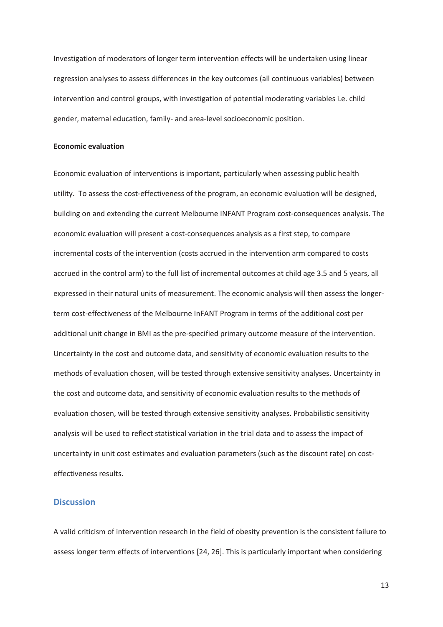Investigation of moderators of longer term intervention effects will be undertaken using linear regression analyses to assess differences in the key outcomes (all continuous variables) between intervention and control groups, with investigation of potential moderating variables i.e. child gender, maternal education, family- and area-level socioeconomic position.

### **Economic evaluation**

Economic evaluation of interventions is important, particularly when assessing public health utility. To assess the cost-effectiveness of the program, an economic evaluation will be designed, building on and extending the current Melbourne INFANT Program cost-consequences analysis. The economic evaluation will present a cost-consequences analysis as a first step, to compare incremental costs of the intervention (costs accrued in the intervention arm compared to costs accrued in the control arm) to the full list of incremental outcomes at child age 3.5 and 5 years, all expressed in their natural units of measurement. The economic analysis will then assess the longerterm cost-effectiveness of the Melbourne InFANT Program in terms of the additional cost per additional unit change in BMI as the pre-specified primary outcome measure of the intervention. Uncertainty in the cost and outcome data, and sensitivity of economic evaluation results to the methods of evaluation chosen, will be tested through extensive sensitivity analyses. Uncertainty in the cost and outcome data, and sensitivity of economic evaluation results to the methods of evaluation chosen, will be tested through extensive sensitivity analyses. Probabilistic sensitivity analysis will be used to reflect statistical variation in the trial data and to assess the impact of uncertainty in unit cost estimates and evaluation parameters (such as the discount rate) on costeffectiveness results.

# **Discussion**

A valid criticism of intervention research in the field of obesity prevention is the consistent failure to assess longer term effects of interventions [24, 26]. This is particularly important when considering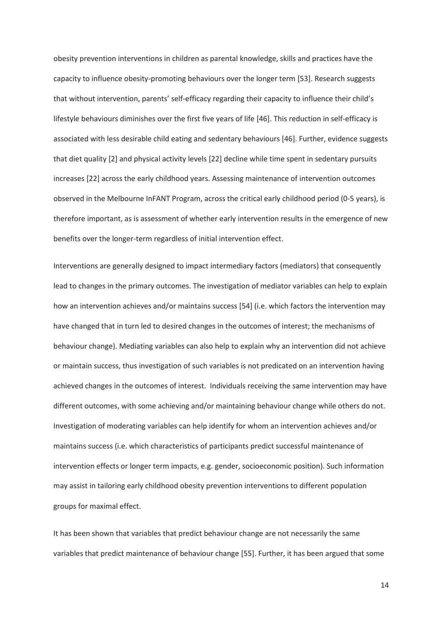obesity prevention interventions in children as parental knowledge, skills and practices have the capacity to influence obesity-promoting behaviours over the longer term [53]. Research suggests that without intervention, parents' self-efficacy regarding their capacity to influence their child's lifestyle behaviours diminishes over the first five years of life [46]. This reduction in self-efficacy is associated with less desirable child eating and sedentary behaviours [46]. Further, evidence suggests that diet quality [2] and physical activity levels [22] decline while time spent in sedentary pursuits increases [22] across the early childhood years. Assessing maintenance of intervention outcomes observed in the Melbourne InFANT Program, across the critical early childhood period (0-5 years), is therefore important, as is assessment of whether early intervention results in the emergence of new benefits over the longer-term regardless of initial intervention effect.

Interventions are generally designed to impact intermediary factors (mediators) that consequently lead to changes in the primary outcomes. The investigation of mediator variables can help to explain how an intervention achieves and/or maintains success [54] (i.e. which factors the intervention may have changed that in turn led to desired changes in the outcomes of interest; the mechanisms of behaviour change). Mediating variables can also help to explain why an intervention did not achieve or maintain success, thus investigation of such variables is not predicated on an intervention having achieved changes in the outcomes of interest. Individuals receiving the same intervention may have different outcomes, with some achieving and/or maintaining behaviour change while others do not. Investigation of moderating variables can help identify for whom an intervention achieves and/or maintains success (i.e. which characteristics of participants predict successful maintenance of intervention effects or longer term impacts, e.g. gender, socioeconomic position). Such information may assist in tailoring early childhood obesity prevention interventions to different population groups for maximal effect.

It has been shown that variables that predict behaviour change are not necessarily the same variables that predict maintenance of behaviour change [55]. Further, it has been argued that some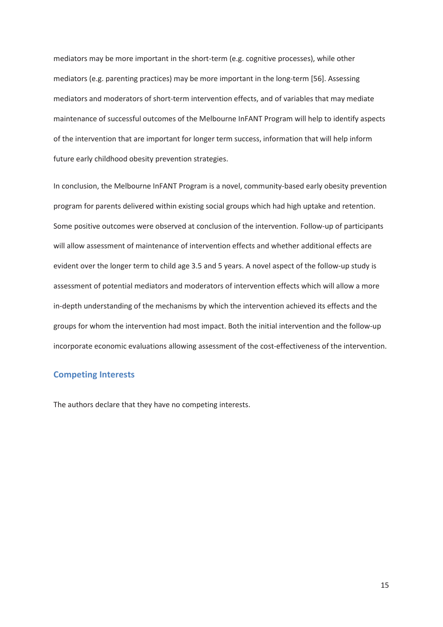mediators may be more important in the short-term (e.g. cognitive processes), while other mediators (e.g. parenting practices) may be more important in the long-term [56]. Assessing mediators and moderators of short-term intervention effects, and of variables that may mediate maintenance of successful outcomes of the Melbourne InFANT Program will help to identify aspects of the intervention that are important for longer term success, information that will help inform future early childhood obesity prevention strategies.

In conclusion, the Melbourne InFANT Program is a novel, community-based early obesity prevention program for parents delivered within existing social groups which had high uptake and retention. Some positive outcomes were observed at conclusion of the intervention. Follow-up of participants will allow assessment of maintenance of intervention effects and whether additional effects are evident over the longer term to child age 3.5 and 5 years. A novel aspect of the follow-up study is assessment of potential mediators and moderators of intervention effects which will allow a more in-depth understanding of the mechanisms by which the intervention achieved its effects and the groups for whom the intervention had most impact. Both the initial intervention and the follow-up incorporate economic evaluations allowing assessment of the cost-effectiveness of the intervention.

# **Competing Interests**

The authors declare that they have no competing interests.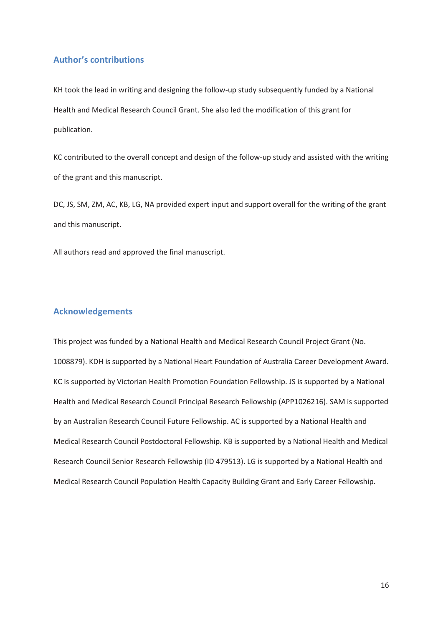# **Author's contributions**

KH took the lead in writing and designing the follow-up study subsequently funded by a National Health and Medical Research Council Grant. She also led the modification of this grant for publication.

KC contributed to the overall concept and design of the follow-up study and assisted with the writing of the grant and this manuscript.

DC, JS, SM, ZM, AC, KB, LG, NA provided expert input and support overall for the writing of the grant and this manuscript.

All authors read and approved the final manuscript.

## **Acknowledgements**

This project was funded by a National Health and Medical Research Council Project Grant (No. 1008879). KDH is supported by a National Heart Foundation of Australia Career Development Award. KC is supported by Victorian Health Promotion Foundation Fellowship. JS is supported by a National Health and Medical Research Council Principal Research Fellowship (APP1026216). SAM is supported by an Australian Research Council Future Fellowship. AC is supported by a National Health and Medical Research Council Postdoctoral Fellowship. KB is supported by a National Health and Medical Research Council Senior Research Fellowship (ID 479513). LG is supported by a National Health and Medical Research Council Population Health Capacity Building Grant and Early Career Fellowship.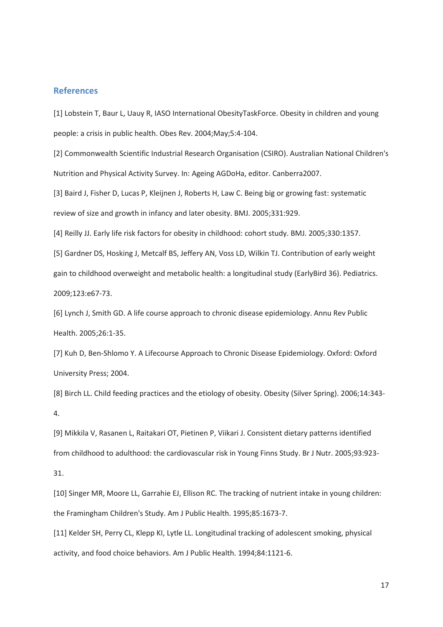## **References**

[1] Lobstein T, Baur L, Uauy R, IASO International ObesityTaskForce. Obesity in children and young people: a crisis in public health. Obes Rev. 2004;May;5:4-104.

[2] Commonwealth Scientific Industrial Research Organisation (CSIRO). Australian National Children's Nutrition and Physical Activity Survey. In: Ageing AGDoHa, editor. Canberra2007.

[3] Baird J, Fisher D, Lucas P, Kleijnen J, Roberts H, Law C. Being big or growing fast: systematic review of size and growth in infancy and later obesity. BMJ. 2005;331:929.

[4] Reilly JJ. Early life risk factors for obesity in childhood: cohort study. BMJ. 2005;330:1357.

[5] Gardner DS, Hosking J, Metcalf BS, Jeffery AN, Voss LD, Wilkin TJ. Contribution of early weight gain to childhood overweight and metabolic health: a longitudinal study (EarlyBird 36). Pediatrics. 2009;123:e67-73.

[6] Lynch J, Smith GD. A life course approach to chronic disease epidemiology. Annu Rev Public Health. 2005;26:1-35.

[7] Kuh D, Ben-Shlomo Y. A Lifecourse Approach to Chronic Disease Epidemiology. Oxford: Oxford University Press; 2004.

[8] Birch LL. Child feeding practices and the etiology of obesity. Obesity (Silver Spring). 2006;14:343- 4.

[9] Mikkila V, Rasanen L, Raitakari OT, Pietinen P, Viikari J. Consistent dietary patterns identified from childhood to adulthood: the cardiovascular risk in Young Finns Study. Br J Nutr. 2005;93:923- 31.

[10] Singer MR, Moore LL, Garrahie EJ, Ellison RC. The tracking of nutrient intake in young children: the Framingham Children's Study. Am J Public Health. 1995;85:1673-7.

[11] Kelder SH, Perry CL, Klepp KI, Lytle LL. Longitudinal tracking of adolescent smoking, physical activity, and food choice behaviors. Am J Public Health. 1994;84:1121-6.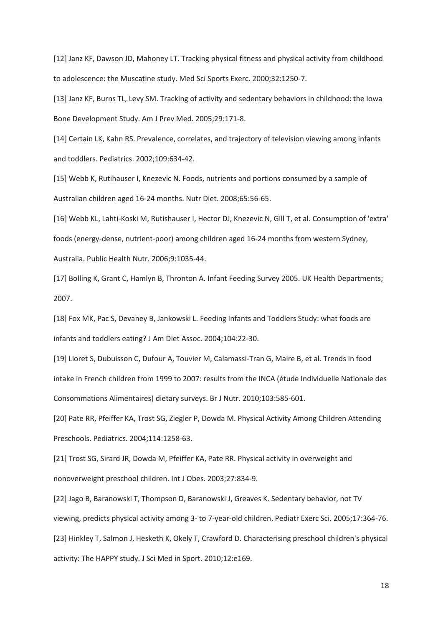[12] Janz KF, Dawson JD, Mahoney LT. Tracking physical fitness and physical activity from childhood to adolescence: the Muscatine study. Med Sci Sports Exerc. 2000;32:1250-7.

[13] Janz KF, Burns TL, Levy SM. Tracking of activity and sedentary behaviors in childhood: the Iowa Bone Development Study. Am J Prev Med. 2005;29:171-8.

[14] Certain LK, Kahn RS. Prevalence, correlates, and trajectory of television viewing among infants and toddlers. Pediatrics. 2002;109:634-42.

[15] Webb K, Rutihauser I, Knezevic N. Foods, nutrients and portions consumed by a sample of Australian children aged 16-24 months. Nutr Diet. 2008;65:56-65.

[16] Webb KL, Lahti-Koski M, Rutishauser I, Hector DJ, Knezevic N, Gill T, et al. Consumption of 'extra' foods (energy-dense, nutrient-poor) among children aged 16-24 months from western Sydney, Australia. Public Health Nutr. 2006;9:1035-44.

[17] Bolling K, Grant C, Hamlyn B, Thronton A. Infant Feeding Survey 2005. UK Health Departments; 2007.

[18] Fox MK, Pac S, Devaney B, Jankowski L. Feeding Infants and Toddlers Study: what foods are infants and toddlers eating? J Am Diet Assoc. 2004;104:22-30.

[19] Lioret S, Dubuisson C, Dufour A, Touvier M, Calamassi-Tran G, Maire B, et al. Trends in food intake in French children from 1999 to 2007: results from the INCA (étude Individuelle Nationale des Consommations Alimentaires) dietary surveys. Br J Nutr. 2010;103:585-601.

[20] Pate RR, Pfeiffer KA, Trost SG, Ziegler P, Dowda M. Physical Activity Among Children Attending Preschools. Pediatrics. 2004;114:1258-63.

[21] Trost SG, Sirard JR, Dowda M, Pfeiffer KA, Pate RR. Physical activity in overweight and nonoverweight preschool children. Int J Obes. 2003;27:834-9.

[22] Jago B, Baranowski T, Thompson D, Baranowski J, Greaves K. Sedentary behavior, not TV viewing, predicts physical activity among 3- to 7-year-old children. Pediatr Exerc Sci. 2005;17:364-76. [23] Hinkley T, Salmon J, Hesketh K, Okely T, Crawford D. Characterising preschool children's physical activity: The HAPPY study. J Sci Med in Sport. 2010;12:e169.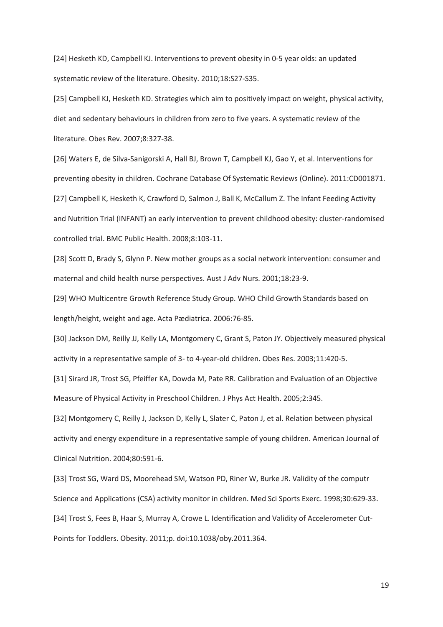[24] Hesketh KD, Campbell KJ. Interventions to prevent obesity in 0-5 year olds: an updated systematic review of the literature. Obesity. 2010;18:S27-S35.

[25] Campbell KJ, Hesketh KD. Strategies which aim to positively impact on weight, physical activity, diet and sedentary behaviours in children from zero to five years. A systematic review of the literature. Obes Rev. 2007;8:327-38.

[26] Waters E, de Silva-Sanigorski A, Hall BJ, Brown T, Campbell KJ, Gao Y, et al. Interventions for preventing obesity in children. Cochrane Database Of Systematic Reviews (Online). 2011:CD001871. [27] Campbell K, Hesketh K, Crawford D, Salmon J, Ball K, McCallum Z. The Infant Feeding Activity and Nutrition Trial (INFANT) an early intervention to prevent childhood obesity: cluster-randomised controlled trial. BMC Public Health. 2008;8:103-11.

[28] Scott D, Brady S, Glynn P. New mother groups as a social network intervention: consumer and maternal and child health nurse perspectives. Aust J Adv Nurs. 2001;18:23-9.

[29] WHO Multicentre Growth Reference Study Group. WHO Child Growth Standards based on length/height, weight and age. Acta Pædiatrica. 2006:76-85.

[30] Jackson DM, Reilly JJ, Kelly LA, Montgomery C, Grant S, Paton JY. Objectively measured physical activity in a representative sample of 3- to 4-year-old children. Obes Res. 2003;11:420-5.

[31] Sirard JR, Trost SG, Pfeiffer KA, Dowda M, Pate RR. Calibration and Evaluation of an Objective Measure of Physical Activity in Preschool Children. J Phys Act Health. 2005;2:345.

[32] Montgomery C, Reilly J, Jackson D, Kelly L, Slater C, Paton J, et al. Relation between physical activity and energy expenditure in a representative sample of young children. American Journal of Clinical Nutrition. 2004;80:591-6.

[33] Trost SG, Ward DS, Moorehead SM, Watson PD, Riner W, Burke JR. Validity of the computr Science and Applications (CSA) activity monitor in children. Med Sci Sports Exerc. 1998;30:629-33. [34] Trost S, Fees B, Haar S, Murray A, Crowe L. Identification and Validity of Accelerometer Cut-Points for Toddlers. Obesity. 2011;p. doi:10.1038/oby.2011.364.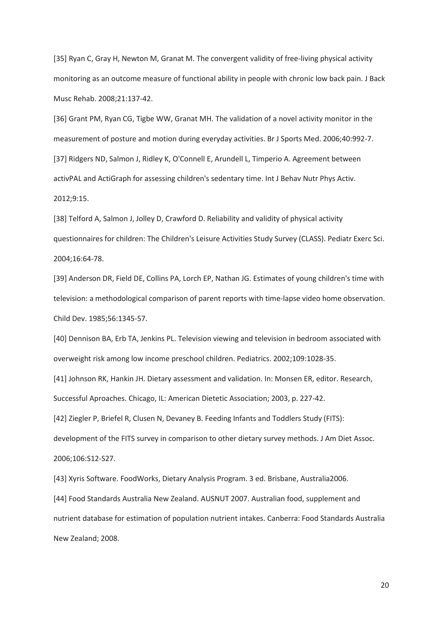[35] Ryan C, Gray H, Newton M, Granat M. The convergent validity of free-living physical activity monitoring as an outcome measure of functional ability in people with chronic low back pain. J Back Musc Rehab. 2008;21:137-42.

[36] Grant PM, Ryan CG, Tigbe WW, Granat MH. The validation of a novel activity monitor in the measurement of posture and motion during everyday activities. Br J Sports Med. 2006;40:992-7. [37] Ridgers ND, Salmon J, Ridley K, O'Connell E, Arundell L, Timperio A. Agreement between activPAL and ActiGraph for assessing children's sedentary time. Int J Behav Nutr Phys Activ. 2012;9:15.

[38] Telford A, Salmon J, Jolley D, Crawford D. Reliability and validity of physical activity questionnaires for children: The Children's Leisure Activities Study Survey (CLASS). Pediatr Exerc Sci. 2004;16:64-78.

[39] Anderson DR, Field DE, Collins PA, Lorch EP, Nathan JG. Estimates of young children's time with television: a methodological comparison of parent reports with time-lapse video home observation. Child Dev. 1985;56:1345-57.

[40] Dennison BA, Erb TA, Jenkins PL. Television viewing and television in bedroom associated with overweight risk among low income preschool children. Pediatrics. 2002;109:1028-35.

[41] Johnson RK, Hankin JH. Dietary assessment and validation. In: Monsen ER, editor. Research, Successful Aproaches. Chicago, IL: American Dietetic Association; 2003, p. 227-42.

[42] Ziegler P, Briefel R, Clusen N, Devaney B. Feeding Infants and Toddlers Study (FITS):

development of the FITS survey in comparison to other dietary survey methods. J Am Diet Assoc. 2006;106:S12-S27.

[43] Xyris Software. FoodWorks, Dietary Analysis Program. 3 ed. Brisbane, Australia2006. [44] Food Standards Australia New Zealand. AUSNUT 2007. Australian food, supplement and nutrient database for estimation of population nutrient intakes. Canberra: Food Standards Australia New Zealand; 2008.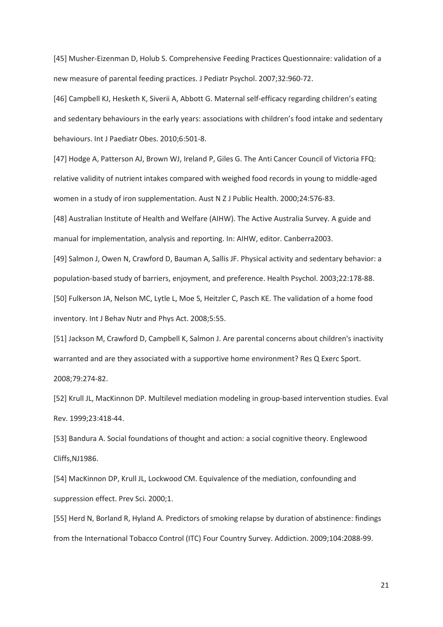[45] Musher-Eizenman D, Holub S. Comprehensive Feeding Practices Questionnaire: validation of a new measure of parental feeding practices. J Pediatr Psychol. 2007;32:960-72.

[46] Campbell KJ, Hesketh K, Siverii A, Abbott G. Maternal self-efficacy regarding children's eating and sedentary behaviours in the early years: associations with children's food intake and sedentary behaviours. Int J Paediatr Obes. 2010;6:501-8.

[47] Hodge A, Patterson AJ, Brown WJ, Ireland P, Giles G. The Anti Cancer Council of Victoria FFQ: relative validity of nutrient intakes compared with weighed food records in young to middle-aged women in a study of iron supplementation. Aust N Z J Public Health. 2000;24:576-83.

[48] Australian Institute of Health and Welfare (AIHW). The Active Australia Survey. A guide and manual for implementation, analysis and reporting. In: AIHW, editor. Canberra2003.

[49] Salmon J, Owen N, Crawford D, Bauman A, Sallis JF. Physical activity and sedentary behavior: a population-based study of barriers, enjoyment, and preference. Health Psychol. 2003;22:178-88. [50] Fulkerson JA, Nelson MC, Lytle L, Moe S, Heitzler C, Pasch KE. The validation of a home food inventory. Int J Behav Nutr and Phys Act. 2008;5:55.

[51] Jackson M, Crawford D, Campbell K, Salmon J. Are parental concerns about children's inactivity warranted and are they associated with a supportive home environment? Res Q Exerc Sport. 2008;79:274-82.

[52] Krull JL, MacKinnon DP. Multilevel mediation modeling in group-based intervention studies. Eval Rev. 1999;23:418-44.

[53] Bandura A. Social foundations of thought and action: a social cognitive theory. Englewood Cliffs,NJ1986.

[54] MacKinnon DP, Krull JL, Lockwood CM. Equivalence of the mediation, confounding and suppression effect. Prev Sci. 2000;1.

[55] Herd N, Borland R, Hyland A. Predictors of smoking relapse by duration of abstinence: findings from the International Tobacco Control (ITC) Four Country Survey. Addiction. 2009;104:2088-99.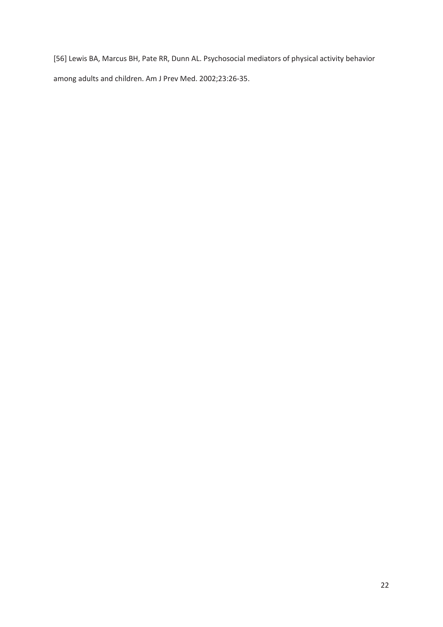[56] Lewis BA, Marcus BH, Pate RR, Dunn AL. Psychosocial mediators of physical activity behavior among adults and children. Am J Prev Med. 2002;23:26-35.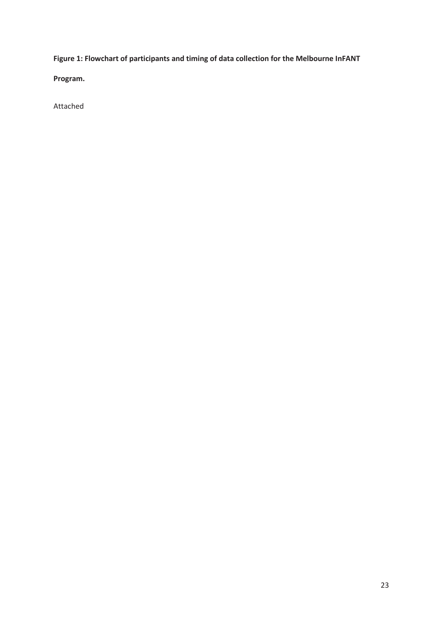**Figure 1: Flowchart of participants and timing of data collection for the Melbourne InFANT** 

**Program.** 

Attached